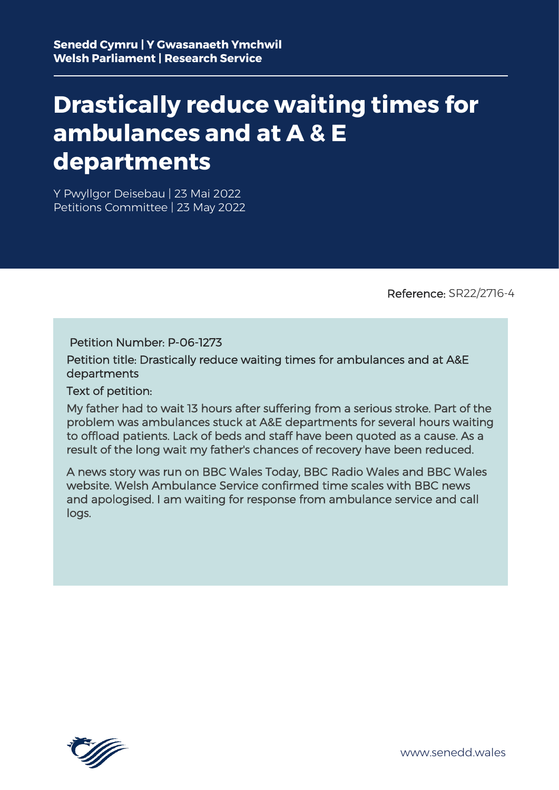# **Drastically reduce waiting times for ambulances and at A & E departments**

Y Pwyllgor Deisebau | 23 Mai 2022 Petitions Committee | 23 May 2022

Reference: SR22/2716-4

Petition Number: P-06-1273

Petition title: Drastically reduce waiting times for ambulances and at A&E departments

Text of petition:

My father had to wait 13 hours after suffering from a serious stroke. Part of the problem was ambulances stuck at A&E departments for several hours waiting to offload patients. Lack of beds and staff have been quoted as a cause. As a result of the long wait my father's chances of recovery have been reduced.

A news story was run on BBC Wales Today, BBC Radio Wales and BBC Wales website. Welsh Ambulance Service confirmed time scales with BBC news and apologised. I am waiting for response from ambulance service and call logs.

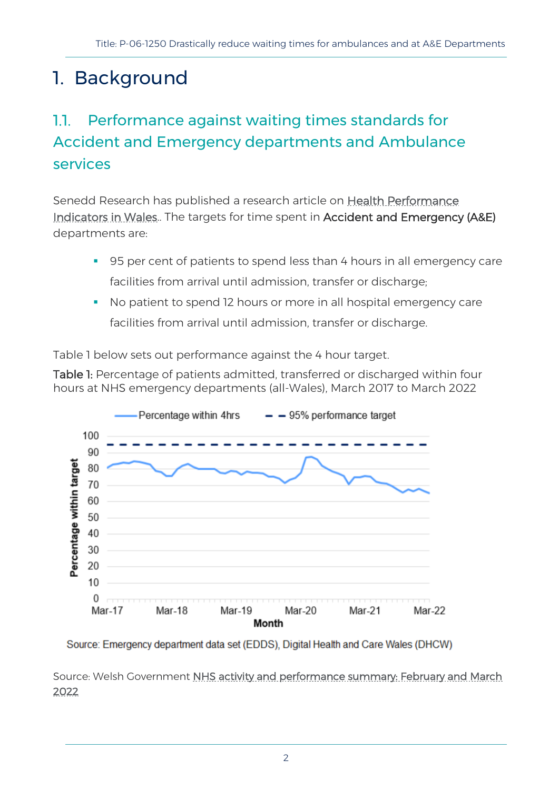## 1. Background

#### Performance against waiting times standards for 11. Accident and Emergency departments and Ambulance services

Senedd Research has published a research article on [Health Performance](https://research.senedd.wales/research-articles/health-performance-indicators-in-wales/)  [Indicators in Wales..](https://research.senedd.wales/research-articles/health-performance-indicators-in-wales/) The targets for time spent in Accident and Emergency (A&E) departments are:

- 95 per cent of patients to spend less than 4 hours in all emergency care facilities from arrival until admission, transfer or discharge;
- No patient to spend 12 hours or more in all hospital emergency care facilities from arrival until admission, transfer or discharge.

Table 1 below sets out performance against the 4 hour target.

Table 1: Percentage of patients admitted, transferred or discharged within four hours at NHS emergency departments (all-Wales), March 2017 to March 2022



Source: Emergency department data set (EDDS), Digital Health and Care Wales (DHCW)

Source: Welsh Government [NHS activity and performance summary: February and March](https://gov.wales/nhs-activity-and-performance-summary-february-and-march-2022-html)  [2022](https://gov.wales/nhs-activity-and-performance-summary-february-and-march-2022-html)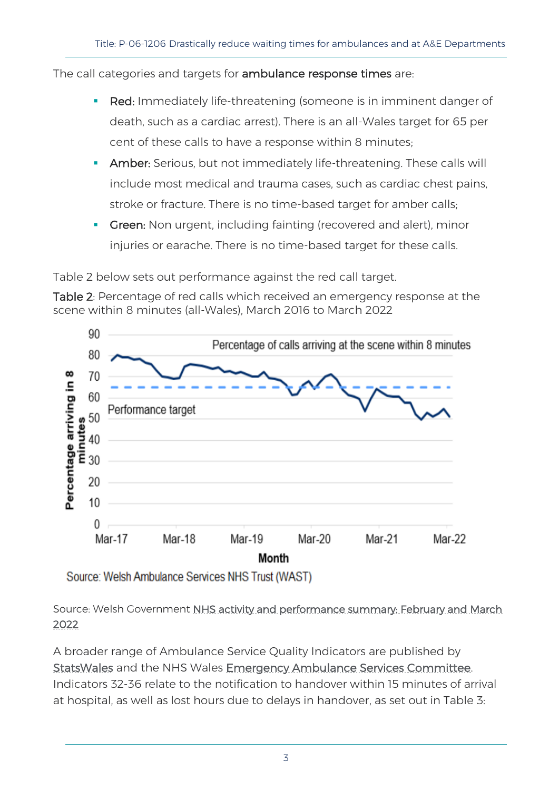The call categories and targets for ambulance response times are:

- Red: Immediately life-threatening (someone is in imminent danger of death, such as a cardiac arrest). There is an all-Wales target for 65 per cent of these calls to have a response within 8 minutes;
- **Amber:** Serious, but not immediately life-threatening. These calls will include most medical and trauma cases, such as cardiac chest pains, stroke or fracture. There is no time-based target for amber calls;
- **Green:** Non urgent, including fainting (recovered and alert), minor injuries or earache. There is no time-based target for these calls.

Table 2 below sets out performance against the red call target.

Table 2: Percentage of red calls which received an emergency response at the scene within 8 minutes (all-Wales), March 2016 to March 2022



Source: Welsh Ambulance Services NHS Trust (WAST)

Source: Welsh Government NHS activity and performance summary: February and March [2022](https://gov.wales/nhs-activity-and-performance-summary-february-and-march-2022-html) 

A broader range of Ambulance Service Quality Indicators are published by [StatsWales](https://statswales.gov.wales/Catalogue/Health-and-Social-Care/NHS-Performance/Ambulance-Services/ambulancequalityindicators-by-lhb-month) and the NHS Wales [Emergency Ambulance Services Committee.](https://easc.nhs.wales/ambulance-quality-indicators/) Indicators 32-36 relate to the notification to handover within 15 minutes of arrival at hospital, as well as lost hours due to delays in handover, as set out in Table 3: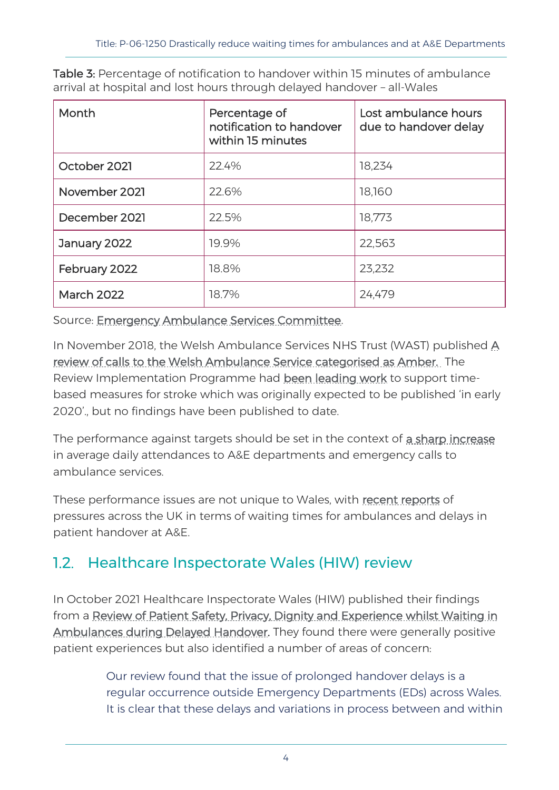| Month             | Percentage of<br>notification to handover<br>within 15 minutes | Lost ambulance hours<br>due to handover delay |
|-------------------|----------------------------------------------------------------|-----------------------------------------------|
| October 2021      | 22.4%                                                          | 18,234                                        |
| November 2021     | 22.6%                                                          | 18,160                                        |
| December 2021     | 22.5%                                                          | 18,773                                        |
| January 2022      | 19.9%                                                          | 22,563                                        |
| February 2022     | 18.8%                                                          | 23,232                                        |
| <b>March 2022</b> | 18.7%                                                          | 24,479                                        |

Table 3: Percentage of notification to handover within 15 minutes of ambulance arrival at hospital and lost hours through delayed handover – all-Wales

Source: [Emergency Ambulance Services Committee.](https://easc.nhs.wales/ambulance-quality-indicators/)

In November 2018, the Welsh Ambulance Services NHS Trust (WAST) published [A](https://eur02.safelinks.protection.outlook.com/?url=http%3A%2F%2Fwww.wales.nhs.uk%2Fsitesplus%2Fdocuments%2F1134%2FNHS-Amber-Report-ENG-LR.PDF&data=05%7C01%7CPaul.Worthington%40senedd.wales%7C3fb1a385e95740e048b308da2f5d3cda%7C38dc5129340c45148a044e8ef2771564%7C0%7C0%7C637874374732673311%7CUnknown%7CTWFpbGZsb3d8eyJWIjoiMC4wLjAwMDAiLCJQIjoiV2luMzIiLCJBTiI6Ik1haWwiLCJXVCI6Mn0%3D%7C3000%7C%7C%7C&sdata=ylFe8fP%2FEedxZki99hG9rvELQU1Nw%2BEVVGEvlt0Ltl4%3D&reserved=0)  [review of calls to the Welsh Ambulance Service categorised as Amber.](https://eur02.safelinks.protection.outlook.com/?url=http%3A%2F%2Fwww.wales.nhs.uk%2Fsitesplus%2Fdocuments%2F1134%2FNHS-Amber-Report-ENG-LR.PDF&data=05%7C01%7CPaul.Worthington%40senedd.wales%7C3fb1a385e95740e048b308da2f5d3cda%7C38dc5129340c45148a044e8ef2771564%7C0%7C0%7C637874374732673311%7CUnknown%7CTWFpbGZsb3d8eyJWIjoiMC4wLjAwMDAiLCJQIjoiV2luMzIiLCJBTiI6Ik1haWwiLCJXVCI6Mn0%3D%7C3000%7C%7C%7C&sdata=ylFe8fP%2FEedxZki99hG9rvELQU1Nw%2BEVVGEvlt0Ltl4%3D&reserved=0) The Review Implementation Programme had [been leading work](https://eur02.safelinks.protection.outlook.com/?url=https%3A%2F%2Fbusiness.senedd.wales%2Fdocuments%2Fs99460%2F20.02.20%2520Correspondence%2520-%2520MInister%2520for%2520Health%2520and%2520Social%2520Services%2520to%2520Chair.pdf&data=05%7C01%7CPaul.Worthington%40senedd.wales%7C3fb1a385e95740e048b308da2f5d3cda%7C38dc5129340c45148a044e8ef2771564%7C0%7C0%7C637874374732673311%7CUnknown%7CTWFpbGZsb3d8eyJWIjoiMC4wLjAwMDAiLCJQIjoiV2luMzIiLCJBTiI6Ik1haWwiLCJXVCI6Mn0%3D%7C3000%7C%7C%7C&sdata=MbXoLHHqoxttgH9mDYgJhVh9FVAW%2FAiWTElFle4K48A%3D&reserved=0) to support timebased measures for stroke which was originally expected to be published 'in early 2020'., but no findings have been published to date.

The performance against targets should be set in the context of [a sharp increase](https://gov.wales/nhs-activity-and-performance-summary-february-and-march-2022-html) in average daily attendances to A&E departments and emergency calls to ambulance services.

These performance issues are not unique to Wales, with [recent reports](https://www.bbc.co.uk/news/health-61335711) of pressures across the UK in terms of waiting times for ambulances and delays in patient handover at A&E.

#### 1.2. Healthcare Inspectorate Wales (HIW) review

In October 2021 Healthcare Inspectorate Wales (HIW) published their findings from a [Review of Patient Safety, Privacy, Dignity and Experience whilst Waiting in](https://hiw.org.uk/review-patient-safety-privacy-dignity-and-experience-whilst-waiting-ambulances-during-delayed-0)  [Ambulances during Delayed Handover.](https://hiw.org.uk/review-patient-safety-privacy-dignity-and-experience-whilst-waiting-ambulances-during-delayed-0) They found there were generally positive patient experiences but also identified a number of areas of concern:

> Our review found that the issue of prolonged handover delays is a regular occurrence outside Emergency Departments (EDs) across Wales. It is clear that these delays and variations in process between and within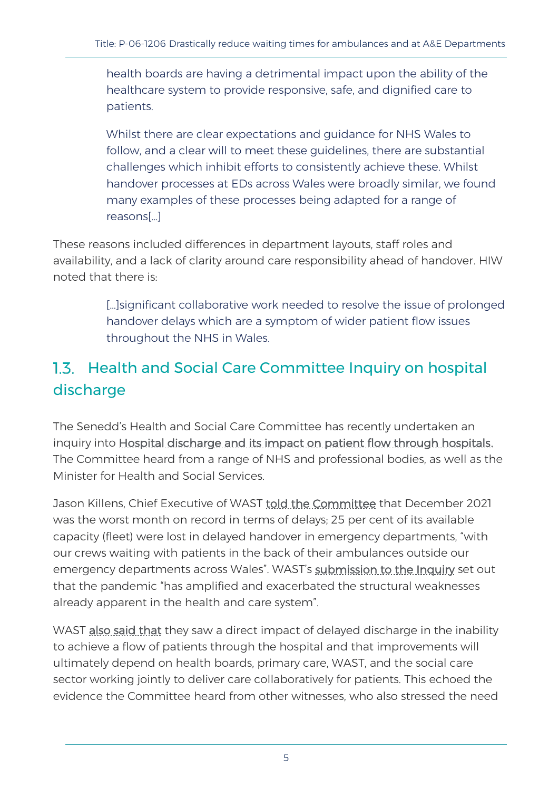health boards are having a detrimental impact upon the ability of the healthcare system to provide responsive, safe, and dignified care to patients.

Whilst there are clear expectations and guidance for NHS Wales to follow, and a clear will to meet these guidelines, there are substantial challenges which inhibit efforts to consistently achieve these. Whilst handover processes at EDs across Wales were broadly similar, we found many examples of these processes being adapted for a range of reasons[…]

These reasons included differences in department layouts, staff roles and availability, and a lack of clarity around care responsibility ahead of handover. HIW noted that there is:

> […]significant collaborative work needed to resolve the issue of prolonged handover delays which are a symptom of wider patient flow issues throughout the NHS in Wales.

### 1.3. Health and Social Care Committee Inquiry on hospital discharge

The Senedd's Health and Social Care Committee has recently undertaken an inquiry into **Hospital discharge and its impact on patient flow through hospitals.** The Committee heard from a range of NHS and professional bodies, as well as the Minister for Health and Social Services.

Jason Killens, Chief Executive of WAST [told the Committee](https://business.senedd.wales/ieListDocuments.aspx?CId=737&MId=12580&Ver=4) that December 2021 was the worst month on record in terms of delays; 25 per cent of its available capacity (fleet) were lost in delayed handover in emergency departments, "with our crews waiting with patients in the back of their ambulances outside our emergency departments across Wales". WAST's [submission to the Inquiry](https://business.senedd.wales/documents/s121647/Paper%2011%20-%20Welsh%20Ambulance%20Services%20NHS%20Trust.pdf) set out that the pandemic "has amplified and exacerbated the structural weaknesses already apparent in the health and care system".

WAST [also said that](http://record.assembly.wales/Meeting/12580) they saw a direct impact of delayed discharge in the inability to achieve a flow of patients through the hospital and that improvements will ultimately depend on health boards, primary care, WAST, and the social care sector working jointly to deliver care collaboratively for patients. This echoed the evidence the Committee heard from other witnesses, who also stressed the need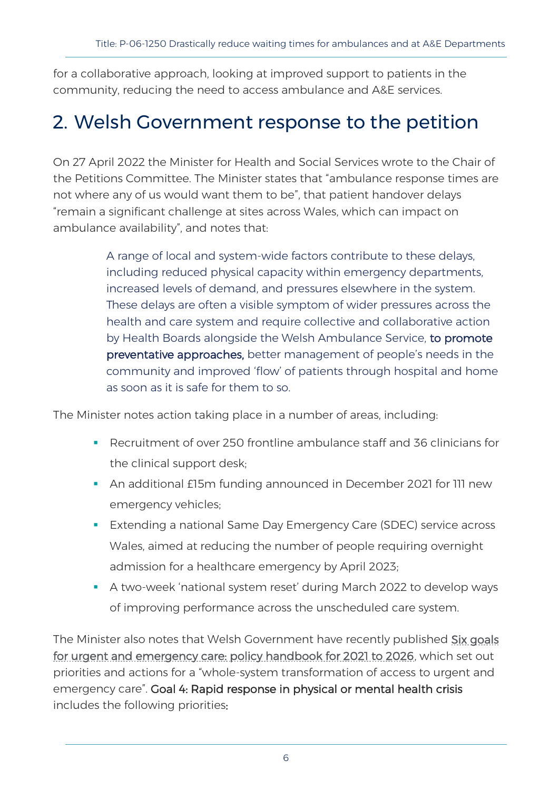for a collaborative approach, looking at improved support to patients in the community, reducing the need to access ambulance and A&E services.

### 2. Welsh Government response to the petition

On 27 April 2022 the Minister for Health and Social Services wrote to the Chair of the Petitions Committee. The Minister states that "ambulance response times are not where any of us would want them to be", that patient handover delays "remain a significant challenge at sites across Wales, which can impact on ambulance availability", and notes that:

> A range of local and system-wide factors contribute to these delays, including reduced physical capacity within emergency departments, increased levels of demand, and pressures elsewhere in the system. These delays are often a visible symptom of wider pressures across the health and care system and require collective and collaborative action by Health Boards alongside the Welsh Ambulance Service, to promote preventative approaches, better management of people's needs in the community and improved 'flow' of patients through hospital and home as soon as it is safe for them to so.

The Minister notes action taking place in a number of areas, including:

- Recruitment of over 250 frontline ambulance staff and 36 clinicians for the clinical support desk;
- An additional £15m funding announced in December 2021 for 111 new emergency vehicles;
- **Extending a national Same Day Emergency Care (SDEC) service across** Wales, aimed at reducing the number of people requiring overnight admission for a healthcare emergency by April 2023;
- A two-week 'national system reset' during March 2022 to develop ways of improving performance across the unscheduled care system.

The Minister also notes that Welsh Government have recently published Six goals [for urgent and emergency care: policy handbook for 2021 to 2026,](https://gov.wales/6-goals-urgent-and-emergency-care-policy-handbook-2021-2026?msclkid=c5125e1ed14011ecb36558c85641e2cb) which set out priorities and actions for a "whole-system transformation of access to urgent and emergency care". Goal 4: Rapid response in physical or mental health crisis includes the following priorities: